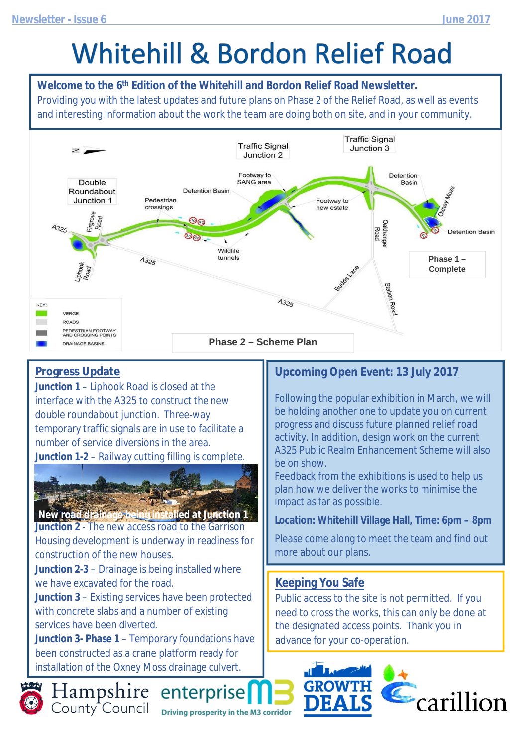# **Whitehill & Bordon Relief Road**

**Welcome to the 6th Edition of the Whitehill and Bordon Relief Road Newsletter.** Providing you with the latest updates and future plans on Phase 2 of the Relief Road, as well as events and interesting information about the work the team are doing both on site, and in your community.



#### **Progress Update**

**Junction 1** – Liphook Road is closed at the interface with the A325 to construct the new double roundabout junction. Three-way temporary traffic signals are in use to facilitate a number of service diversions in the area. **Junction 1-2** – Railway cutting filling is complete.



**Junction 2** - The new access road to the Garrison Housing development is underway in readiness for construction of the new houses. **New road drainage being installed at Junction 1**

**Junction 2-3** – Drainage is being installed where we have excavated for the road.

**Junction 3** – Existing services have been protected with concrete slabs and a number of existing services have been diverted.

**Junction 3- Phase 1** – Temporary foundations have been constructed as a crane platform ready for installation of the Oxney Moss drainage culvert.

#### **Upcoming Open Event: 13 July 2017**

Following the popular exhibition in March, we will be holding another one to update you on current progress and discuss future planned relief road activity. In addition, design work on the current A325 Public Realm Enhancement Scheme will also be on show.

Feedback from the exhibitions is used to help us plan how we deliver the works to minimise the impact as far as possible.

**Location: Whitehill Village Hall, Time: 6pm – 8pm**

Please come along to meet the team and find out more about our plans.

#### **Keeping You Safe**

Public access to the site is not permitted. If you need to cross the works, this can only be done at the designated access points. Thank you in advance for your co-operation.





Hampshire enterprise **Driving prosperity in the M3 corridor**